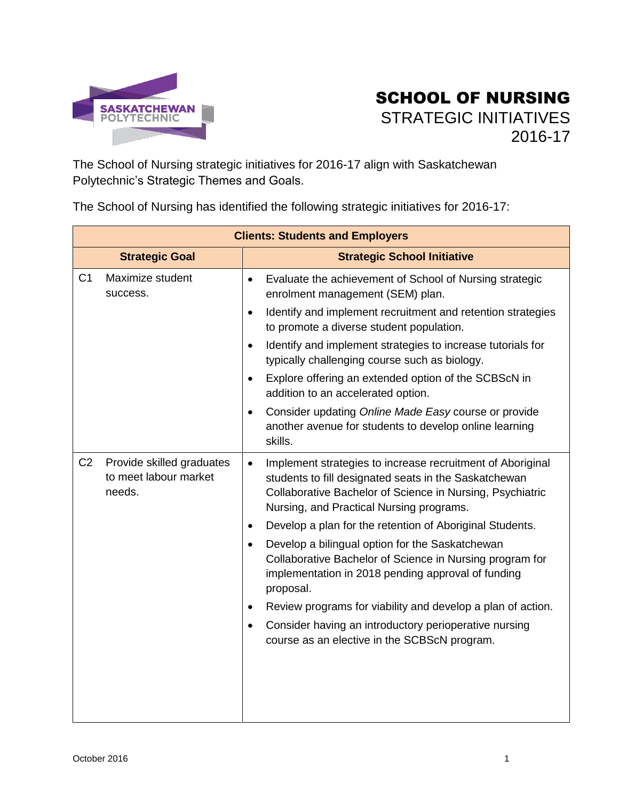

## SCHOOL OF NURSING STRATEGIC INITIATIVES 2016-17

The School of Nursing strategic initiatives for 2016-17 align with Saskatchewan Polytechnic's Strategic Themes and Goals.

The School of Nursing has identified the following strategic initiatives for 2016-17:

| <b>Clients: Students and Employers</b>                                         |                                                                                                                                                                                                                                           |  |
|--------------------------------------------------------------------------------|-------------------------------------------------------------------------------------------------------------------------------------------------------------------------------------------------------------------------------------------|--|
| <b>Strategic Goal</b>                                                          | <b>Strategic School Initiative</b>                                                                                                                                                                                                        |  |
| C <sub>1</sub><br>Maximize student<br>success.                                 | Evaluate the achievement of School of Nursing strategic<br>$\bullet$<br>enrolment management (SEM) plan.                                                                                                                                  |  |
|                                                                                | Identify and implement recruitment and retention strategies<br>$\bullet$<br>to promote a diverse student population.                                                                                                                      |  |
|                                                                                | Identify and implement strategies to increase tutorials for<br>$\bullet$<br>typically challenging course such as biology.                                                                                                                 |  |
|                                                                                | Explore offering an extended option of the SCBScN in<br>addition to an accelerated option.                                                                                                                                                |  |
|                                                                                | Consider updating Online Made Easy course or provide<br>$\bullet$<br>another avenue for students to develop online learning<br>skills.                                                                                                    |  |
| C <sub>2</sub><br>Provide skilled graduates<br>to meet labour market<br>needs. | Implement strategies to increase recruitment of Aboriginal<br>$\bullet$<br>students to fill designated seats in the Saskatchewan<br>Collaborative Bachelor of Science in Nursing, Psychiatric<br>Nursing, and Practical Nursing programs. |  |
|                                                                                | Develop a plan for the retention of Aboriginal Students.                                                                                                                                                                                  |  |
|                                                                                | Develop a bilingual option for the Saskatchewan<br>$\bullet$<br>Collaborative Bachelor of Science in Nursing program for<br>implementation in 2018 pending approval of funding<br>proposal.                                               |  |
|                                                                                | Review programs for viability and develop a plan of action.<br>$\bullet$                                                                                                                                                                  |  |
|                                                                                | Consider having an introductory perioperative nursing<br>$\bullet$<br>course as an elective in the SCBScN program.                                                                                                                        |  |
|                                                                                |                                                                                                                                                                                                                                           |  |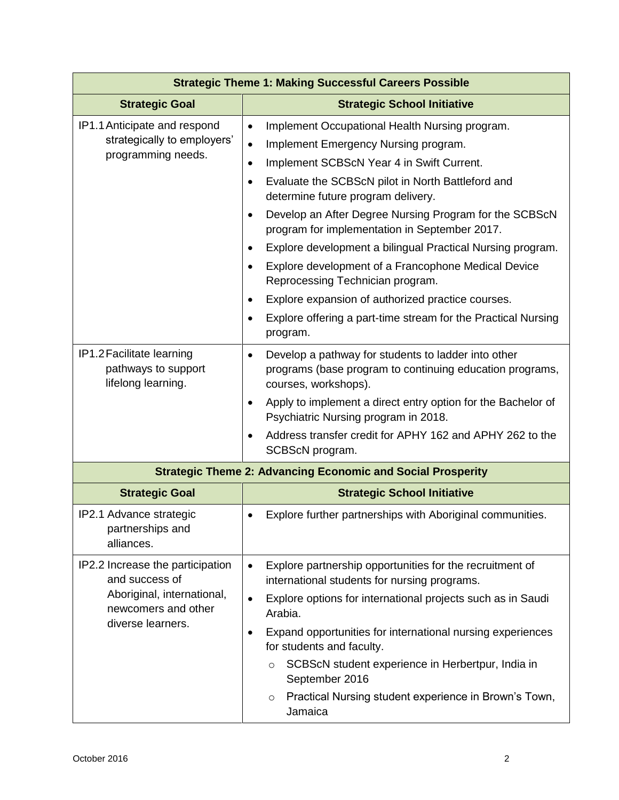| <b>Strategic Theme 1: Making Successful Careers Possible</b>                                                                 |                                                                                                                                                                                                                                                                                                                                                                                                                                                                                                                                                                                                                                                                                                              |  |
|------------------------------------------------------------------------------------------------------------------------------|--------------------------------------------------------------------------------------------------------------------------------------------------------------------------------------------------------------------------------------------------------------------------------------------------------------------------------------------------------------------------------------------------------------------------------------------------------------------------------------------------------------------------------------------------------------------------------------------------------------------------------------------------------------------------------------------------------------|--|
| <b>Strategic Goal</b>                                                                                                        | <b>Strategic School Initiative</b>                                                                                                                                                                                                                                                                                                                                                                                                                                                                                                                                                                                                                                                                           |  |
| IP1.1 Anticipate and respond<br>strategically to employers'<br>programming needs.                                            | Implement Occupational Health Nursing program.<br>$\bullet$<br>Implement Emergency Nursing program.<br>$\bullet$<br>Implement SCBScN Year 4 in Swift Current.<br>٠<br>Evaluate the SCBScN pilot in North Battleford and<br>٠<br>determine future program delivery.<br>Develop an After Degree Nursing Program for the SCBScN<br>$\bullet$<br>program for implementation in September 2017.<br>Explore development a bilingual Practical Nursing program.<br>٠<br>Explore development of a Francophone Medical Device<br>Reprocessing Technician program.<br>Explore expansion of authorized practice courses.<br>$\bullet$<br>Explore offering a part-time stream for the Practical Nursing<br>٠<br>program. |  |
| IP1.2 Facilitate learning<br>pathways to support<br>lifelong learning.                                                       | Develop a pathway for students to ladder into other<br>$\bullet$<br>programs (base program to continuing education programs,<br>courses, workshops).<br>Apply to implement a direct entry option for the Bachelor of<br>$\bullet$<br>Psychiatric Nursing program in 2018.<br>Address transfer credit for APHY 162 and APHY 262 to the<br>SCBScN program.                                                                                                                                                                                                                                                                                                                                                     |  |
|                                                                                                                              | <b>Strategic Theme 2: Advancing Economic and Social Prosperity</b>                                                                                                                                                                                                                                                                                                                                                                                                                                                                                                                                                                                                                                           |  |
| <b>Strategic Goal</b>                                                                                                        | <b>Strategic School Initiative</b>                                                                                                                                                                                                                                                                                                                                                                                                                                                                                                                                                                                                                                                                           |  |
| IP2.1 Advance strategic<br>partnerships and<br>alliances.                                                                    | Explore further partnerships with Aboriginal communities.<br>$\bullet$                                                                                                                                                                                                                                                                                                                                                                                                                                                                                                                                                                                                                                       |  |
| IP2.2 Increase the participation<br>and success of<br>Aboriginal, international,<br>newcomers and other<br>diverse learners. | Explore partnership opportunities for the recruitment of<br>$\bullet$<br>international students for nursing programs.<br>Explore options for international projects such as in Saudi<br>$\bullet$<br>Arabia.<br>Expand opportunities for international nursing experiences<br>$\bullet$<br>for students and faculty.<br>SCBScN student experience in Herbertpur, India in<br>$\circ$<br>September 2016<br>Practical Nursing student experience in Brown's Town,<br>$\circ$<br>Jamaica                                                                                                                                                                                                                        |  |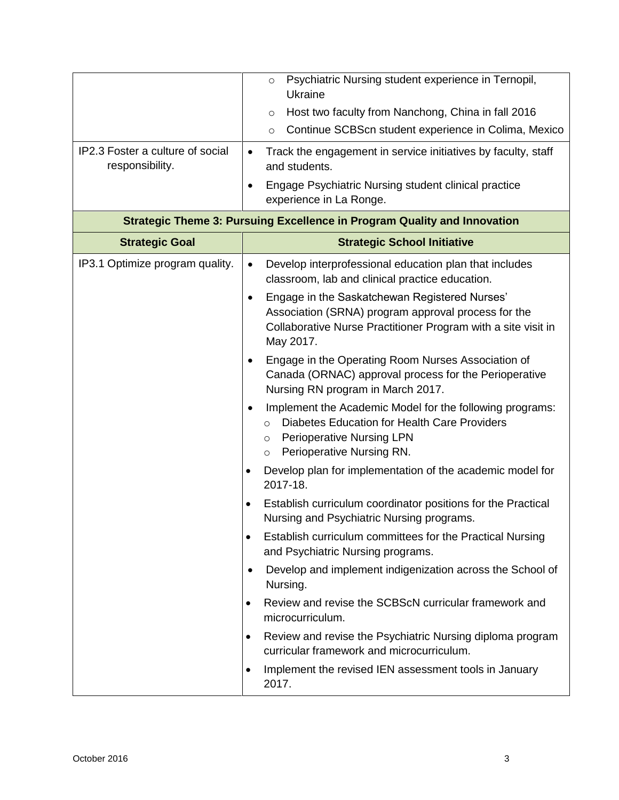|                                                     | Psychiatric Nursing student experience in Ternopil,<br>$\circ$<br>Ukraine                                                                                                                                  |
|-----------------------------------------------------|------------------------------------------------------------------------------------------------------------------------------------------------------------------------------------------------------------|
|                                                     | Host two faculty from Nanchong, China in fall 2016<br>$\circ$                                                                                                                                              |
|                                                     | Continue SCBScn student experience in Colima, Mexico<br>$\circ$                                                                                                                                            |
| IP2.3 Foster a culture of social<br>responsibility. | Track the engagement in service initiatives by faculty, staff<br>$\bullet$<br>and students.<br>Engage Psychiatric Nursing student clinical practice                                                        |
|                                                     | experience in La Ronge.                                                                                                                                                                                    |
|                                                     | <b>Strategic Theme 3: Pursuing Excellence in Program Quality and Innovation</b>                                                                                                                            |
| <b>Strategic Goal</b>                               | <b>Strategic School Initiative</b>                                                                                                                                                                         |
| IP3.1 Optimize program quality.                     | Develop interprofessional education plan that includes<br>$\bullet$<br>classroom, lab and clinical practice education.                                                                                     |
|                                                     | Engage in the Saskatchewan Registered Nurses'<br>Association (SRNA) program approval process for the<br>Collaborative Nurse Practitioner Program with a site visit in<br>May 2017.                         |
|                                                     | Engage in the Operating Room Nurses Association of<br>Canada (ORNAC) approval process for the Perioperative<br>Nursing RN program in March 2017.                                                           |
|                                                     | Implement the Academic Model for the following programs:<br>Diabetes Education for Health Care Providers<br>$\circ$<br><b>Perioperative Nursing LPN</b><br>$\circ$<br>Perioperative Nursing RN.<br>$\circ$ |
|                                                     | Develop plan for implementation of the academic model for<br>٠<br>2017-18.                                                                                                                                 |
|                                                     | Establish curriculum coordinator positions for the Practical<br>$\bullet$<br>Nursing and Psychiatric Nursing programs.                                                                                     |
|                                                     | Establish curriculum committees for the Practical Nursing<br>$\bullet$<br>and Psychiatric Nursing programs.                                                                                                |
|                                                     | Develop and implement indigenization across the School of<br>$\bullet$<br>Nursing.                                                                                                                         |
|                                                     | Review and revise the SCBScN curricular framework and<br>$\bullet$<br>microcurriculum.                                                                                                                     |
|                                                     | Review and revise the Psychiatric Nursing diploma program<br>$\bullet$<br>curricular framework and microcurriculum.                                                                                        |
|                                                     | Implement the revised IEN assessment tools in January<br>$\bullet$<br>2017.                                                                                                                                |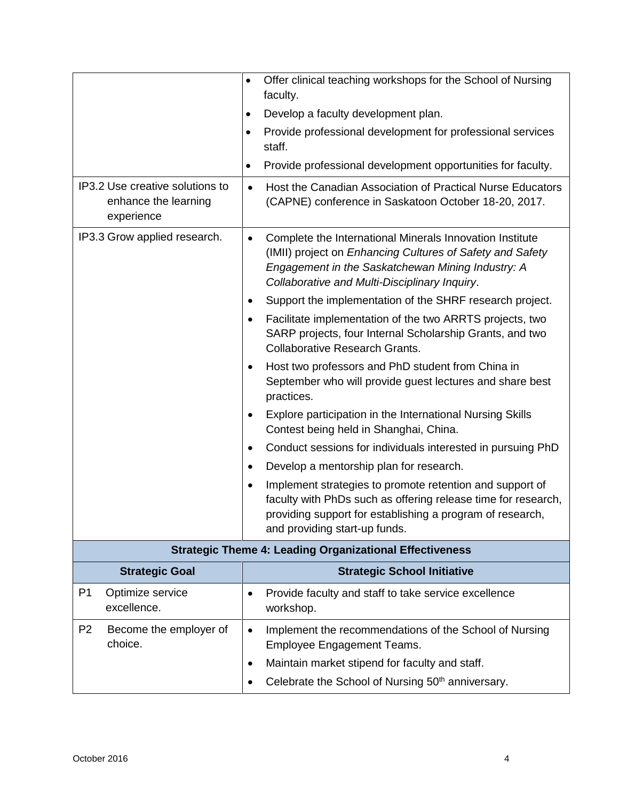|                                                                       | Offer clinical teaching workshops for the School of Nursing<br>$\bullet$<br>faculty.                                                                                                                                                     |  |  |
|-----------------------------------------------------------------------|------------------------------------------------------------------------------------------------------------------------------------------------------------------------------------------------------------------------------------------|--|--|
|                                                                       | Develop a faculty development plan.<br>$\bullet$                                                                                                                                                                                         |  |  |
|                                                                       | Provide professional development for professional services<br>$\bullet$<br>staff.                                                                                                                                                        |  |  |
|                                                                       | Provide professional development opportunities for faculty.<br>$\bullet$                                                                                                                                                                 |  |  |
| IP3.2 Use creative solutions to<br>enhance the learning<br>experience | Host the Canadian Association of Practical Nurse Educators<br>$\bullet$<br>(CAPNE) conference in Saskatoon October 18-20, 2017.                                                                                                          |  |  |
| IP3.3 Grow applied research.                                          | Complete the International Minerals Innovation Institute<br>$\bullet$<br>(IMII) project on Enhancing Cultures of Safety and Safety<br>Engagement in the Saskatchewan Mining Industry: A<br>Collaborative and Multi-Disciplinary Inquiry. |  |  |
|                                                                       | Support the implementation of the SHRF research project.                                                                                                                                                                                 |  |  |
|                                                                       | Facilitate implementation of the two ARRTS projects, two<br>$\bullet$<br>SARP projects, four Internal Scholarship Grants, and two<br><b>Collaborative Research Grants.</b>                                                               |  |  |
|                                                                       | Host two professors and PhD student from China in<br>$\bullet$<br>September who will provide guest lectures and share best<br>practices.                                                                                                 |  |  |
|                                                                       | Explore participation in the International Nursing Skills<br>$\bullet$<br>Contest being held in Shanghai, China.                                                                                                                         |  |  |
|                                                                       | Conduct sessions for individuals interested in pursuing PhD                                                                                                                                                                              |  |  |
|                                                                       | Develop a mentorship plan for research.<br>$\bullet$                                                                                                                                                                                     |  |  |
|                                                                       | Implement strategies to promote retention and support of<br>٠<br>faculty with PhDs such as offering release time for research,<br>providing support for establishing a program of research,<br>and providing start-up funds.             |  |  |
| <b>Strategic Theme 4: Leading Organizational Effectiveness</b>        |                                                                                                                                                                                                                                          |  |  |
| <b>Strategic Goal</b>                                                 | <b>Strategic School Initiative</b>                                                                                                                                                                                                       |  |  |
| P <sub>1</sub><br>Optimize service<br>excellence.                     | Provide faculty and staff to take service excellence<br>$\bullet$<br>workshop.                                                                                                                                                           |  |  |
| P <sub>2</sub><br>Become the employer of<br>choice.                   | Implement the recommendations of the School of Nursing<br>$\bullet$<br>Employee Engagement Teams.<br>Maintain market stipend for faculty and staff.<br>$\bullet$                                                                         |  |  |
|                                                                       | Celebrate the School of Nursing 50 <sup>th</sup> anniversary.<br>$\bullet$                                                                                                                                                               |  |  |